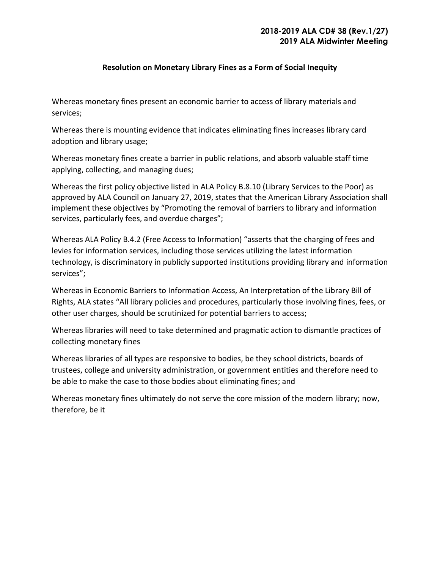## **Resolution on Monetary Library Fines as a Form of Social Inequity**

Whereas monetary fines present an economic barrier to access of library materials and services;

Whereas there is mounting evidence that indicates eliminating fines increases library card adoption and library usage;

Whereas monetary fines create a barrier in public relations, and absorb valuable staff time applying, collecting, and managing dues;

Whereas the first policy objective listed in ALA Policy B.8.10 (Library Services to the Poor) as approved by ALA Council on January 27, 2019, states that the American Library Association shall implement these objectives by "Promoting the removal of barriers to library and information services, particularly fees, and overdue charges";

Whereas ALA Policy B.4.2 (Free Access to Information) "asserts that the charging of fees and levies for information services, including those services utilizing the latest information technology, is discriminatory in publicly supported institutions providing library and information services";

Whereas in Economic Barriers to Information Access, An Interpretation of the Library Bill of Rights, ALA states "All library policies and procedures, particularly those involving fines, fees, or other user charges, should be scrutinized for potential barriers to access;

Whereas libraries will need to take determined and pragmatic action to dismantle practices of collecting monetary fines

Whereas libraries of all types are responsive to bodies, be they school districts, boards of trustees, college and university administration, or government entities and therefore need to be able to make the case to those bodies about eliminating fines; and

Whereas monetary fines ultimately do not serve the core mission of the modern library; now, therefore, be it